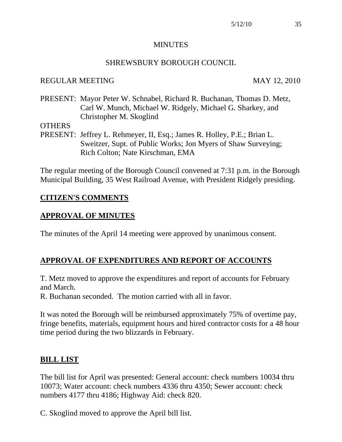#### **MINUTES**

#### SHREWSBURY BOROUGH COUNCIL

#### REGULAR MEETING MAY 12, 2010

PRESENT: Mayor Peter W. Schnabel, Richard R. Buchanan, Thomas D. Metz, Carl W. Munch, Michael W. Ridgely, Michael G. Sharkey, and Christopher M. Skoglind

**OTHERS** 

PRESENT: Jeffrey L. Rehmeyer, II, Esq.; James R. Holley, P.E.; Brian L. Sweitzer, Supt. of Public Works; Jon Myers of Shaw Surveying; Rich Colton; Nate Kirschman, EMA

The regular meeting of the Borough Council convened at 7:31 p.m. in the Borough Municipal Building, 35 West Railroad Avenue, with President Ridgely presiding.

#### **CITIZEN'S COMMENTS**

#### **APPROVAL OF MINUTES**

The minutes of the April 14 meeting were approved by unanimous consent.

### **APPROVAL OF EXPENDITURES AND REPORT OF ACCOUNTS**

T. Metz moved to approve the expenditures and report of accounts for February and March.

R. Buchanan seconded. The motion carried with all in favor.

It was noted the Borough will be reimbursed approximately 75% of overtime pay, fringe benefits, materials, equipment hours and hired contractor costs for a 48 hour time period during the two blizzards in February.

#### **BILL LIST**

The bill list for April was presented: General account: check numbers 10034 thru 10073; Water account: check numbers 4336 thru 4350; Sewer account: check numbers 4177 thru 4186; Highway Aid: check 820.

C. Skoglind moved to approve the April bill list.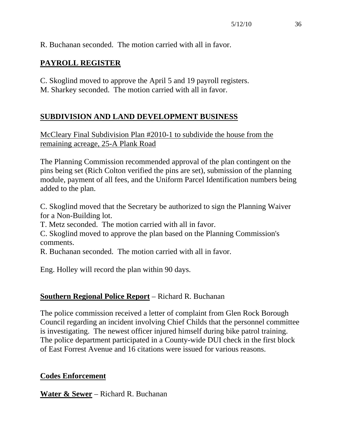R. Buchanan seconded. The motion carried with all in favor.

## **PAYROLL REGISTER**

C. Skoglind moved to approve the April 5 and 19 payroll registers.

M. Sharkey seconded. The motion carried with all in favor.

## **SUBDIVISION AND LAND DEVELOPMENT BUSINESS**

McCleary Final Subdivision Plan #2010-1 to subdivide the house from the remaining acreage, 25-A Plank Road

The Planning Commission recommended approval of the plan contingent on the pins being set (Rich Colton verified the pins are set), submission of the planning module, payment of all fees, and the Uniform Parcel Identification numbers being added to the plan.

C. Skoglind moved that the Secretary be authorized to sign the Planning Waiver for a Non-Building lot.

T. Metz seconded. The motion carried with all in favor.

C. Skoglind moved to approve the plan based on the Planning Commission's comments.

R. Buchanan seconded. The motion carried with all in favor.

Eng. Holley will record the plan within 90 days.

## **Southern Regional Police Report** – Richard R. Buchanan

The police commission received a letter of complaint from Glen Rock Borough Council regarding an incident involving Chief Childs that the personnel committee is investigating. The newest officer injured himself during bike patrol training. The police department participated in a County-wide DUI check in the first block of East Forrest Avenue and 16 citations were issued for various reasons.

### **Codes Enforcement**

**Water & Sewer** – Richard R. Buchanan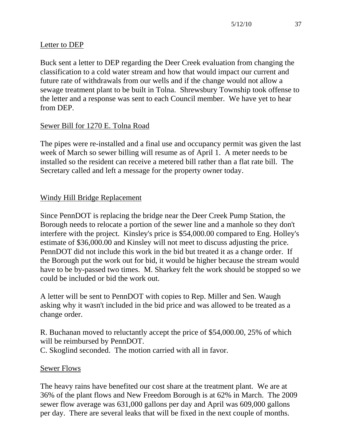## Letter to DEP

Buck sent a letter to DEP regarding the Deer Creek evaluation from changing the classification to a cold water stream and how that would impact our current and future rate of withdrawals from our wells and if the change would not allow a sewage treatment plant to be built in Tolna. Shrewsbury Township took offense to the letter and a response was sent to each Council member. We have yet to hear from DEP.

# Sewer Bill for 1270 E. Tolna Road

The pipes were re-installed and a final use and occupancy permit was given the last week of March so sewer billing will resume as of April 1. A meter needs to be installed so the resident can receive a metered bill rather than a flat rate bill. The Secretary called and left a message for the property owner today.

## Windy Hill Bridge Replacement

Since PennDOT is replacing the bridge near the Deer Creek Pump Station, the Borough needs to relocate a portion of the sewer line and a manhole so they don't interfere with the project. Kinsley's price is \$54,000.00 compared to Eng. Holley's estimate of \$36,000.00 and Kinsley will not meet to discuss adjusting the price. PennDOT did not include this work in the bid but treated it as a change order. If the Borough put the work out for bid, it would be higher because the stream would have to be by-passed two times. M. Sharkey felt the work should be stopped so we could be included or bid the work out.

A letter will be sent to PennDOT with copies to Rep. Miller and Sen. Waugh asking why it wasn't included in the bid price and was allowed to be treated as a change order.

R. Buchanan moved to reluctantly accept the price of \$54,000.00, 25% of which will be reimbursed by PennDOT. C. Skoglind seconded. The motion carried with all in favor.

### Sewer Flows

The heavy rains have benefited our cost share at the treatment plant. We are at 36% of the plant flows and New Freedom Borough is at 62% in March. The 2009 sewer flow average was 631,000 gallons per day and April was 609,000 gallons per day. There are several leaks that will be fixed in the next couple of months.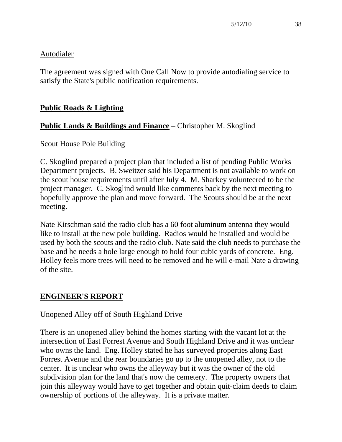#### **Autodialer**

The agreement was signed with One Call Now to provide autodialing service to satisfy the State's public notification requirements.

## **Public Roads & Lighting**

## **Public Lands & Buildings and Finance** – Christopher M. Skoglind

#### Scout House Pole Building

C. Skoglind prepared a project plan that included a list of pending Public Works Department projects. B. Sweitzer said his Department is not available to work on the scout house requirements until after July 4. M. Sharkey volunteered to be the project manager. C. Skoglind would like comments back by the next meeting to hopefully approve the plan and move forward. The Scouts should be at the next meeting.

Nate Kirschman said the radio club has a 60 foot aluminum antenna they would like to install at the new pole building. Radios would be installed and would be used by both the scouts and the radio club. Nate said the club needs to purchase the base and he needs a hole large enough to hold four cubic yards of concrete. Eng. Holley feels more trees will need to be removed and he will e-mail Nate a drawing of the site.

### **ENGINEER'S REPORT**

### Unopened Alley off of South Highland Drive

There is an unopened alley behind the homes starting with the vacant lot at the intersection of East Forrest Avenue and South Highland Drive and it was unclear who owns the land. Eng. Holley stated he has surveyed properties along East Forrest Avenue and the rear boundaries go up to the unopened alley, not to the center. It is unclear who owns the alleyway but it was the owner of the old subdivision plan for the land that's now the cemetery. The property owners that join this alleyway would have to get together and obtain quit-claim deeds to claim ownership of portions of the alleyway. It is a private matter.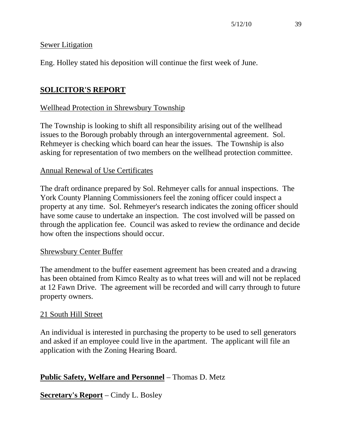#### Sewer Litigation

Eng. Holley stated his deposition will continue the first week of June.

## **SOLICITOR'S REPORT**

#### Wellhead Protection in Shrewsbury Township

The Township is looking to shift all responsibility arising out of the wellhead issues to the Borough probably through an intergovernmental agreement. Sol. Rehmeyer is checking which board can hear the issues. The Township is also asking for representation of two members on the wellhead protection committee.

#### Annual Renewal of Use Certificates

The draft ordinance prepared by Sol. Rehmeyer calls for annual inspections. The York County Planning Commissioners feel the zoning officer could inspect a property at any time. Sol. Rehmeyer's research indicates the zoning officer should have some cause to undertake an inspection. The cost involved will be passed on through the application fee. Council was asked to review the ordinance and decide how often the inspections should occur.

#### Shrewsbury Center Buffer

The amendment to the buffer easement agreement has been created and a drawing has been obtained from Kimco Realty as to what trees will and will not be replaced at 12 Fawn Drive. The agreement will be recorded and will carry through to future property owners.

#### 21 South Hill Street

An individual is interested in purchasing the property to be used to sell generators and asked if an employee could live in the apartment. The applicant will file an application with the Zoning Hearing Board.

### **Public Safety, Welfare and Personnel** – Thomas D. Metz

**Secretary's Report** – Cindy L. Bosley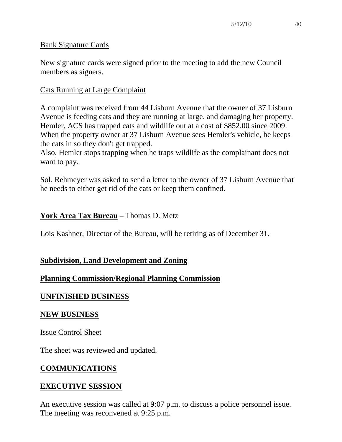#### Bank Signature Cards

New signature cards were signed prior to the meeting to add the new Council members as signers.

#### Cats Running at Large Complaint

A complaint was received from 44 Lisburn Avenue that the owner of 37 Lisburn Avenue is feeding cats and they are running at large, and damaging her property. Hemler, ACS has trapped cats and wildlife out at a cost of \$852.00 since 2009. When the property owner at 37 Lisburn Avenue sees Hemler's vehicle, he keeps the cats in so they don't get trapped.

Also, Hemler stops trapping when he traps wildlife as the complainant does not want to pay.

Sol. Rehmeyer was asked to send a letter to the owner of 37 Lisburn Avenue that he needs to either get rid of the cats or keep them confined.

## **York Area Tax Bureau** – Thomas D. Metz

Lois Kashner, Director of the Bureau, will be retiring as of December 31.

### **Subdivision, Land Development and Zoning**

### **Planning Commission/Regional Planning Commission**

### **UNFINISHED BUSINESS**

#### **NEW BUSINESS**

Issue Control Sheet

The sheet was reviewed and updated.

### **COMMUNICATIONS**

### **EXECUTIVE SESSION**

An executive session was called at 9:07 p.m. to discuss a police personnel issue. The meeting was reconvened at 9:25 p.m.